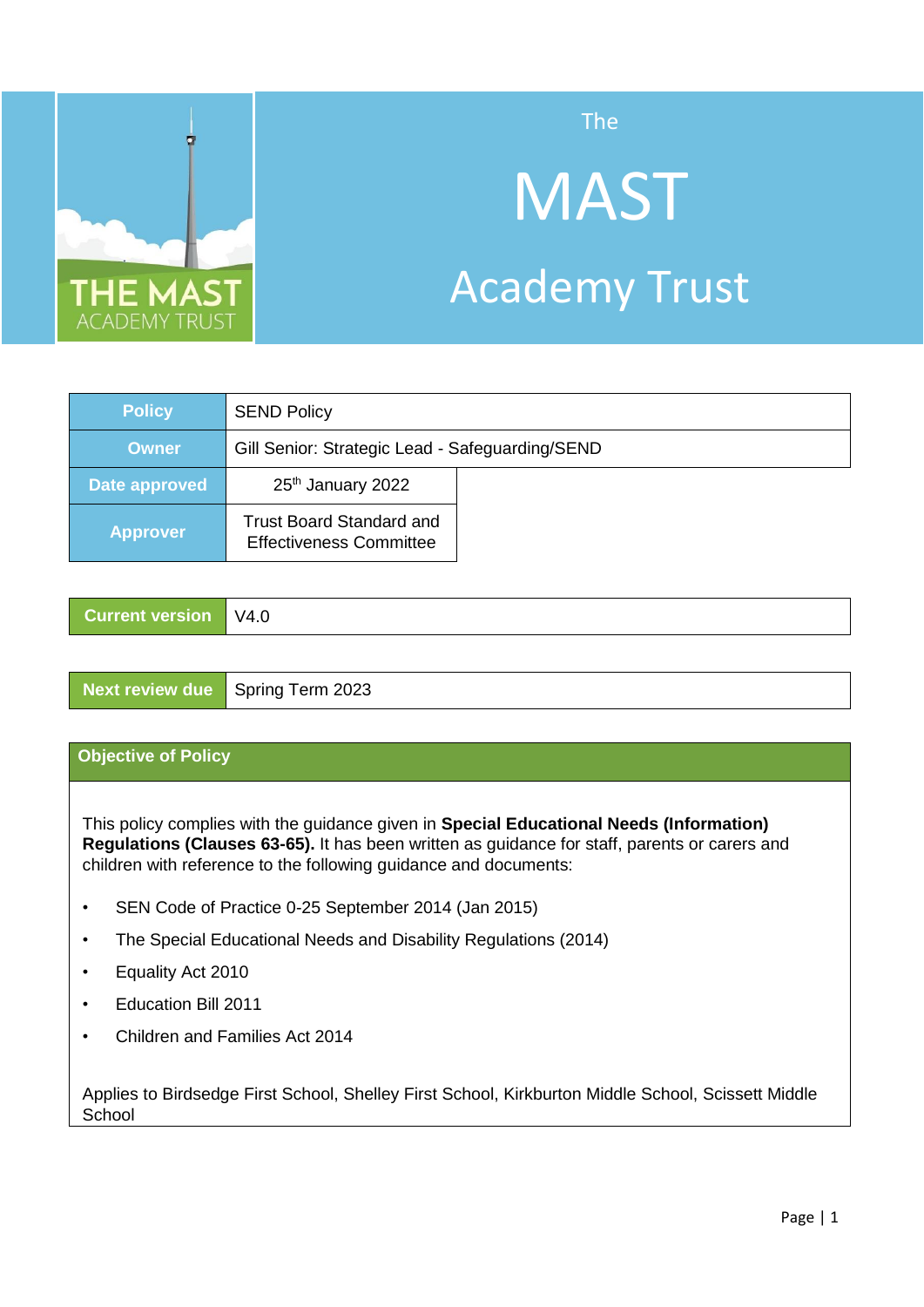

# The

# **MAST** Academy Trust

| <b>Policy</b>   | <b>SEND Policy</b>                                                |  |  |
|-----------------|-------------------------------------------------------------------|--|--|
| <b>Owner</b>    | Gill Senior: Strategic Lead - Safeguarding/SEND                   |  |  |
| Date approved   | 25 <sup>th</sup> January 2022                                     |  |  |
| <b>Approver</b> | <b>Trust Board Standard and</b><br><b>Effectiveness Committee</b> |  |  |

| <b>Current version   V4.0</b> |  |
|-------------------------------|--|
|                               |  |

| <b>Next review due</b> Spring Term 2023 |
|-----------------------------------------|
|-----------------------------------------|

# **Objective of Policy**

This policy complies with the guidance given in **Special Educational Needs (Information) Regulations (Clauses 63-65).** It has been written as guidance for staff, parents or carers and children with reference to the following guidance and documents:

- SEN Code of Practice 0-25 September 2014 (Jan 2015)
- The Special Educational Needs and Disability Regulations (2014)
- Equality Act 2010
- Education Bill 2011
- Children and Families Act 2014

Applies to Birdsedge First School, Shelley First School, Kirkburton Middle School, Scissett Middle **School**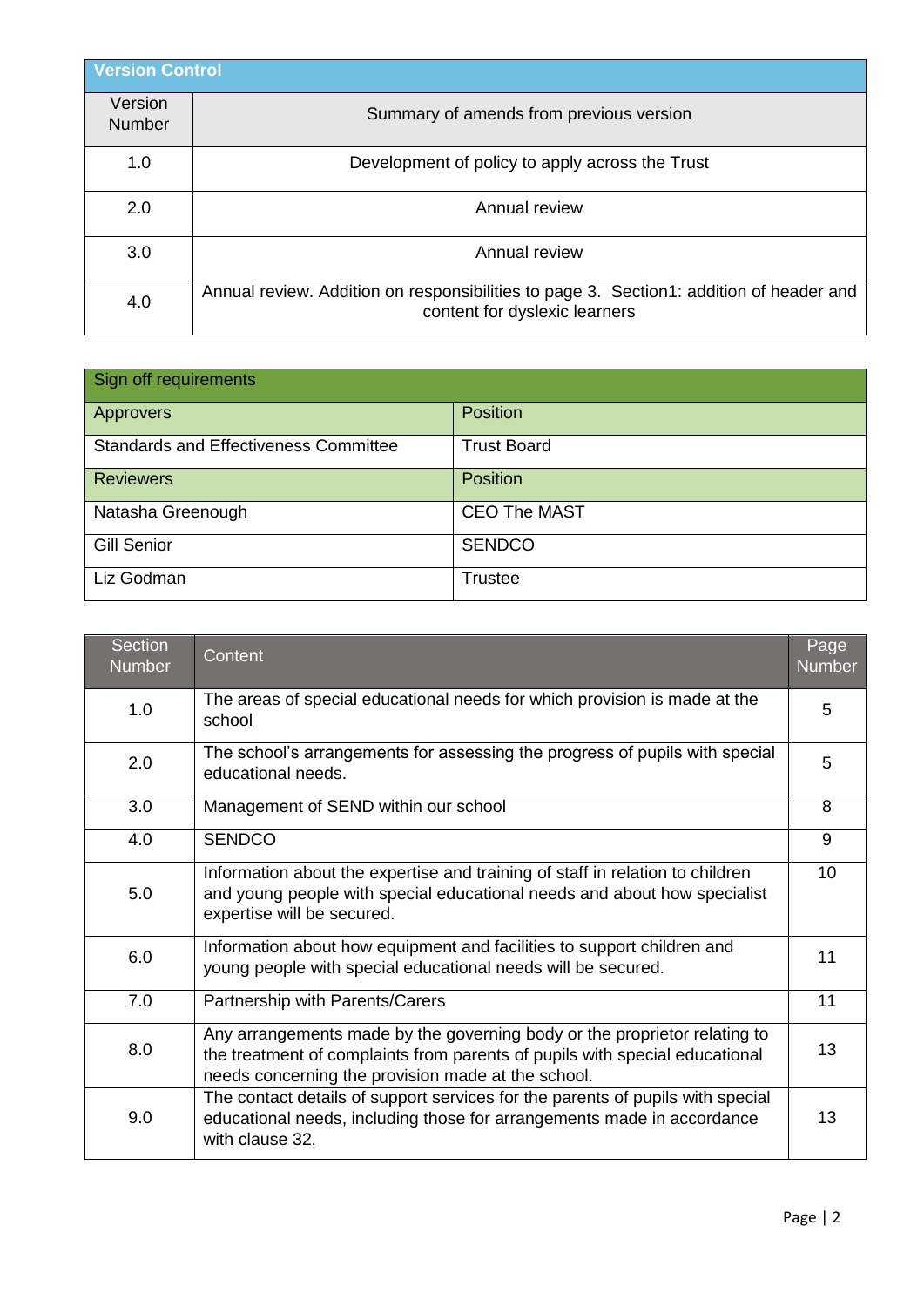| <b>Version Control</b>   |                                                                                                                          |  |  |
|--------------------------|--------------------------------------------------------------------------------------------------------------------------|--|--|
| Version<br><b>Number</b> | Summary of amends from previous version                                                                                  |  |  |
| 1.0                      | Development of policy to apply across the Trust                                                                          |  |  |
| 2.0                      | Annual review                                                                                                            |  |  |
| 3.0                      | Annual review                                                                                                            |  |  |
| 4.0                      | Annual review. Addition on responsibilities to page 3. Section1: addition of header and<br>content for dyslexic learners |  |  |

| Sign off requirements                        |                     |  |  |
|----------------------------------------------|---------------------|--|--|
| <b>Approvers</b>                             | <b>Position</b>     |  |  |
| <b>Standards and Effectiveness Committee</b> | <b>Trust Board</b>  |  |  |
| <b>Reviewers</b>                             | <b>Position</b>     |  |  |
| Natasha Greenough                            | <b>CEO The MAST</b> |  |  |
| <b>Gill Senior</b>                           | <b>SENDCO</b>       |  |  |
| Liz Godman                                   | <b>Trustee</b>      |  |  |

| <b>Section</b><br><b>Number</b> | Content                                                                                                                                                                                                        | Page<br><b>Number</b> |
|---------------------------------|----------------------------------------------------------------------------------------------------------------------------------------------------------------------------------------------------------------|-----------------------|
| 1.0                             | The areas of special educational needs for which provision is made at the<br>school                                                                                                                            | 5                     |
| 2.0                             | The school's arrangements for assessing the progress of pupils with special<br>educational needs.                                                                                                              | 5                     |
| 3.0                             | Management of SEND within our school                                                                                                                                                                           | 8                     |
| 4.0                             | <b>SENDCO</b>                                                                                                                                                                                                  | 9                     |
| 5.0                             | Information about the expertise and training of staff in relation to children<br>and young people with special educational needs and about how specialist<br>expertise will be secured.                        | 10 <sup>1</sup>       |
| 6.0                             | Information about how equipment and facilities to support children and<br>young people with special educational needs will be secured.                                                                         |                       |
| 7.0                             | Partnership with Parents/Carers                                                                                                                                                                                | 11                    |
| 8.0                             | Any arrangements made by the governing body or the proprietor relating to<br>the treatment of complaints from parents of pupils with special educational<br>needs concerning the provision made at the school. | 13                    |
| 9.0                             | The contact details of support services for the parents of pupils with special<br>educational needs, including those for arrangements made in accordance<br>with clause 32.                                    | 13                    |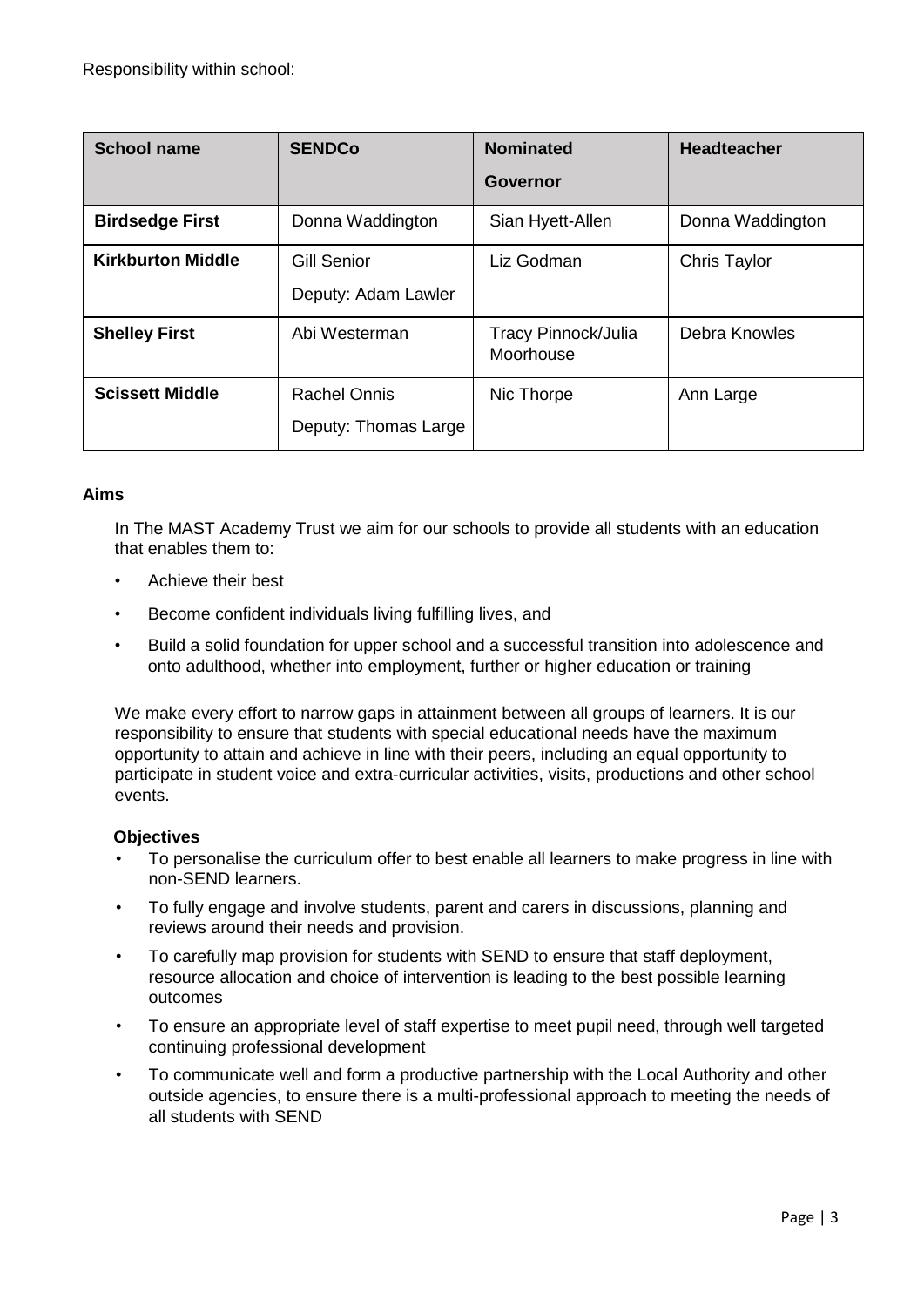| <b>School name</b>       | <b>SENDCo</b>                               | <b>Nominated</b>                        | <b>Headteacher</b> |
|--------------------------|---------------------------------------------|-----------------------------------------|--------------------|
|                          |                                             | Governor                                |                    |
| <b>Birdsedge First</b>   | Donna Waddington                            | Sian Hyett-Allen                        | Donna Waddington   |
| <b>Kirkburton Middle</b> | <b>Gill Senior</b><br>Deputy: Adam Lawler   | Liz Godman                              | Chris Taylor       |
| <b>Shelley First</b>     | Abi Westerman                               | <b>Tracy Pinnock/Julia</b><br>Moorhouse | Debra Knowles      |
| <b>Scissett Middle</b>   | <b>Rachel Onnis</b><br>Deputy: Thomas Large | Nic Thorpe                              | Ann Large          |

# **Aims**

In The MAST Academy Trust we aim for our schools to provide all students with an education that enables them to:

- Achieve their best
- Become confident individuals living fulfilling lives, and
- Build a solid foundation for upper school and a successful transition into adolescence and onto adulthood, whether into employment, further or higher education or training

We make every effort to narrow gaps in attainment between all groups of learners. It is our responsibility to ensure that students with special educational needs have the maximum opportunity to attain and achieve in line with their peers, including an equal opportunity to participate in student voice and extra-curricular activities, visits, productions and other school events.

## **Objectives**

- To personalise the curriculum offer to best enable all learners to make progress in line with non-SEND learners.
- To fully engage and involve students, parent and carers in discussions, planning and reviews around their needs and provision.
- To carefully map provision for students with SEND to ensure that staff deployment, resource allocation and choice of intervention is leading to the best possible learning outcomes
- To ensure an appropriate level of staff expertise to meet pupil need, through well targeted continuing professional development
- To communicate well and form a productive partnership with the Local Authority and other outside agencies, to ensure there is a multi-professional approach to meeting the needs of all students with SEND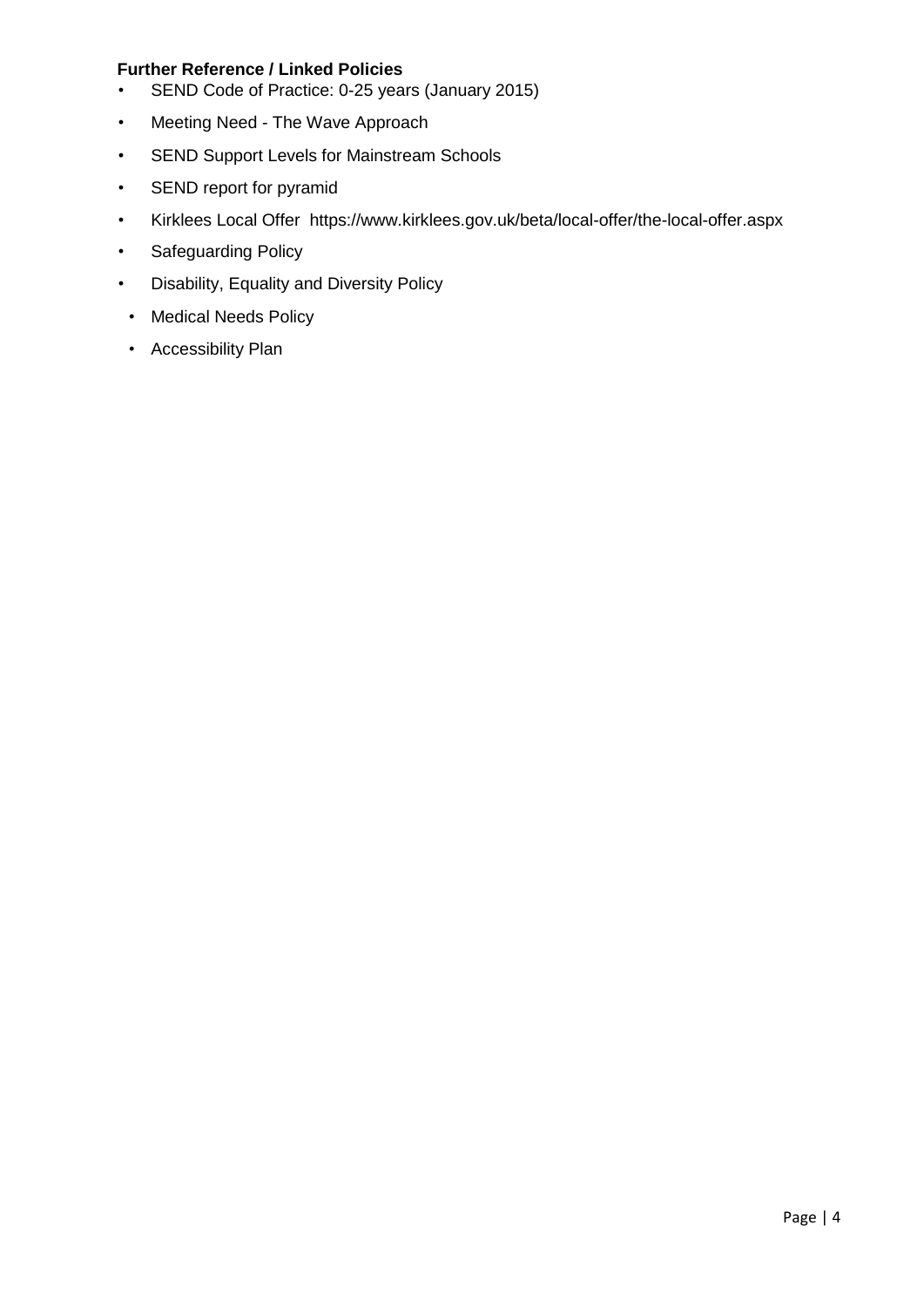## **Further Reference / Linked Policies**

- SEND Code of Practice: 0-25 years (January 2015)
- Meeting Need The Wave Approach
- SEND Support Levels for Mainstream Schools
- SEND report for pyramid
- Kirklees Local Offer https://www.kirklees.gov.uk/beta/local-offer/the-local-offer.aspx
- Safeguarding Policy
- Disability, Equality and Diversity Policy
- Medical Needs Policy
- Accessibility Plan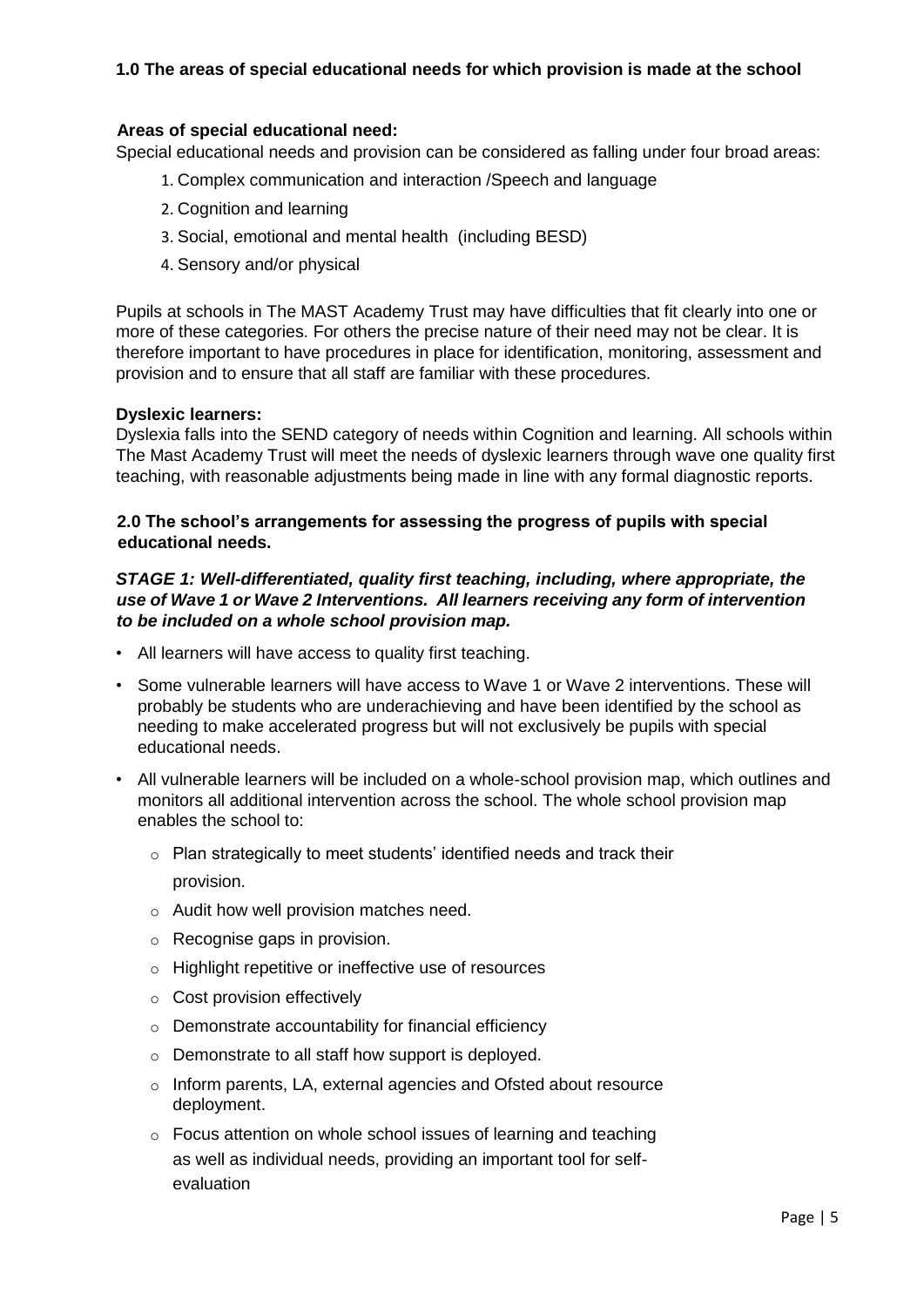# **1.0 The areas of special educational needs for which provision is made at the school**

### **Areas of special educational need:**

Special educational needs and provision can be considered as falling under four broad areas:

- 1. Complex communication and interaction /Speech and language
- 2. Cognition and learning
- 3. Social, emotional and mental health (including BESD)
- 4. Sensory and/or physical

Pupils at schools in The MAST Academy Trust may have difficulties that fit clearly into one or more of these categories. For others the precise nature of their need may not be clear. It is therefore important to have procedures in place for identification, monitoring, assessment and provision and to ensure that all staff are familiar with these procedures.

#### **Dyslexic learners:**

Dyslexia falls into the SEND category of needs within Cognition and learning. All schools within The Mast Academy Trust will meet the needs of dyslexic learners through wave one quality first teaching, with reasonable adjustments being made in line with any formal diagnostic reports.

#### **2.0 The school's arrangements for assessing the progress of pupils with special educational needs.**

## *STAGE 1: Well-differentiated, quality first teaching, including, where appropriate, the use of Wave 1 or Wave 2 Interventions. All learners receiving any form of intervention to be included on a whole school provision map.*

- All learners will have access to quality first teaching.
- Some vulnerable learners will have access to Wave 1 or Wave 2 interventions. These will probably be students who are underachieving and have been identified by the school as needing to make accelerated progress but will not exclusively be pupils with special educational needs.
- All vulnerable learners will be included on a whole-school provision map, which outlines and monitors all additional intervention across the school. The whole school provision map enables the school to:
	- o Plan strategically to meet students' identified needs and track their provision.
	- o Audit how well provision matches need.
	- o Recognise gaps in provision.
	- o Highlight repetitive or ineffective use of resources
	- o Cost provision effectively
	- o Demonstrate accountability for financial efficiency
	- o Demonstrate to all staff how support is deployed.
	- o Inform parents, LA, external agencies and Ofsted about resource deployment.
	- o Focus attention on whole school issues of learning and teaching as well as individual needs, providing an important tool for selfevaluation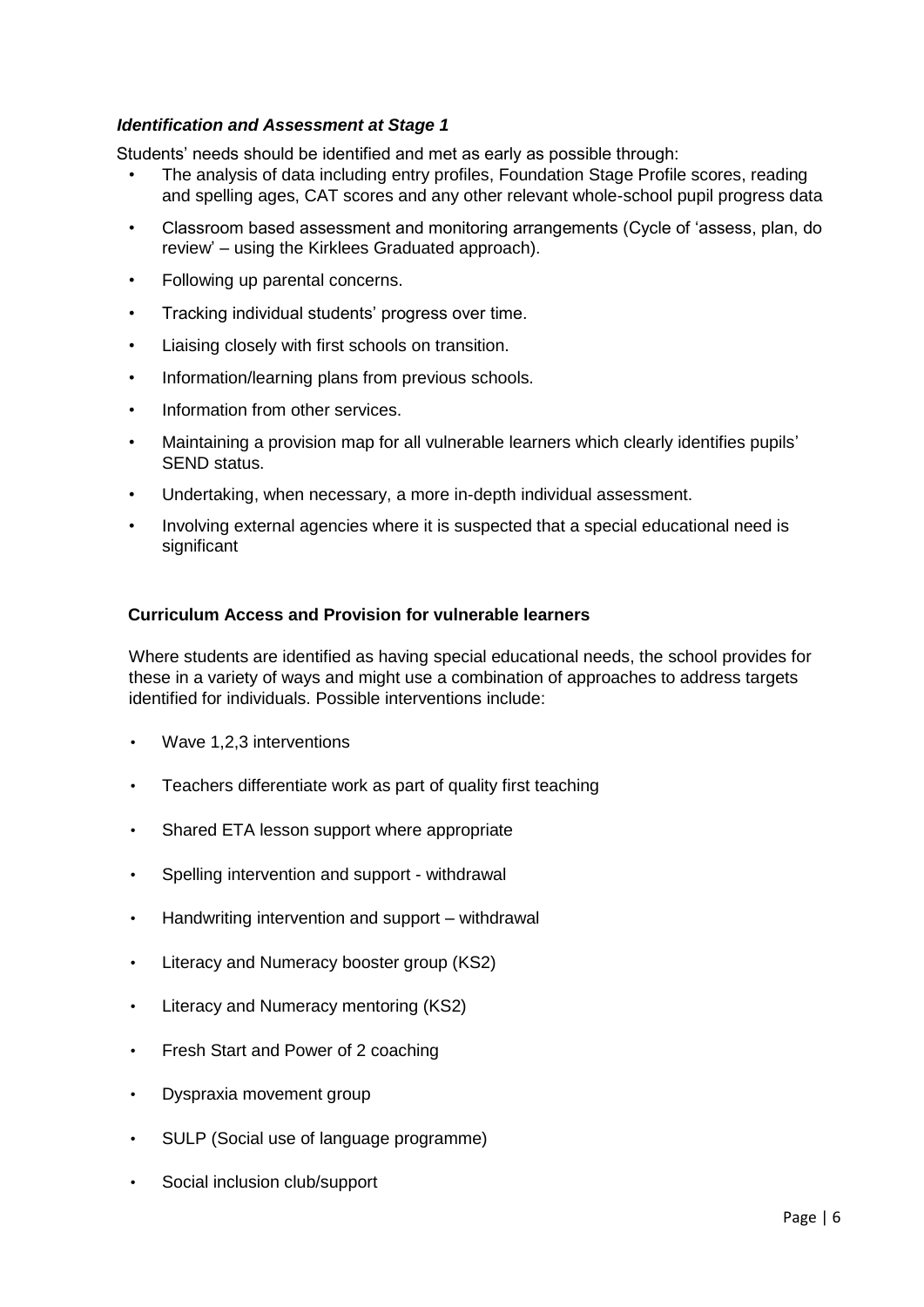# *Identification and Assessment at Stage 1*

Students' needs should be identified and met as early as possible through:

- The analysis of data including entry profiles, Foundation Stage Profile scores, reading and spelling ages, CAT scores and any other relevant whole-school pupil progress data
- Classroom based assessment and monitoring arrangements (Cycle of 'assess, plan, do review' – using the Kirklees Graduated approach).
- Following up parental concerns.
- Tracking individual students' progress over time.
- Liaising closely with first schools on transition.
- Information/learning plans from previous schools.
- Information from other services.
- Maintaining a provision map for all vulnerable learners which clearly identifies pupils' SEND status.
- Undertaking, when necessary, a more in-depth individual assessment.
- Involving external agencies where it is suspected that a special educational need is significant

## **Curriculum Access and Provision for vulnerable learners**

Where students are identified as having special educational needs, the school provides for these in a variety of ways and might use a combination of approaches to address targets identified for individuals. Possible interventions include:

- Wave 1,2,3 interventions
- Teachers differentiate work as part of quality first teaching
- Shared ETA lesson support where appropriate
- Spelling intervention and support withdrawal
- Handwriting intervention and support withdrawal
- Literacy and Numeracy booster group (KS2)
- Literacy and Numeracy mentoring (KS2)
- Fresh Start and Power of 2 coaching
- Dyspraxia movement group
- SULP (Social use of language programme)
- Social inclusion club/support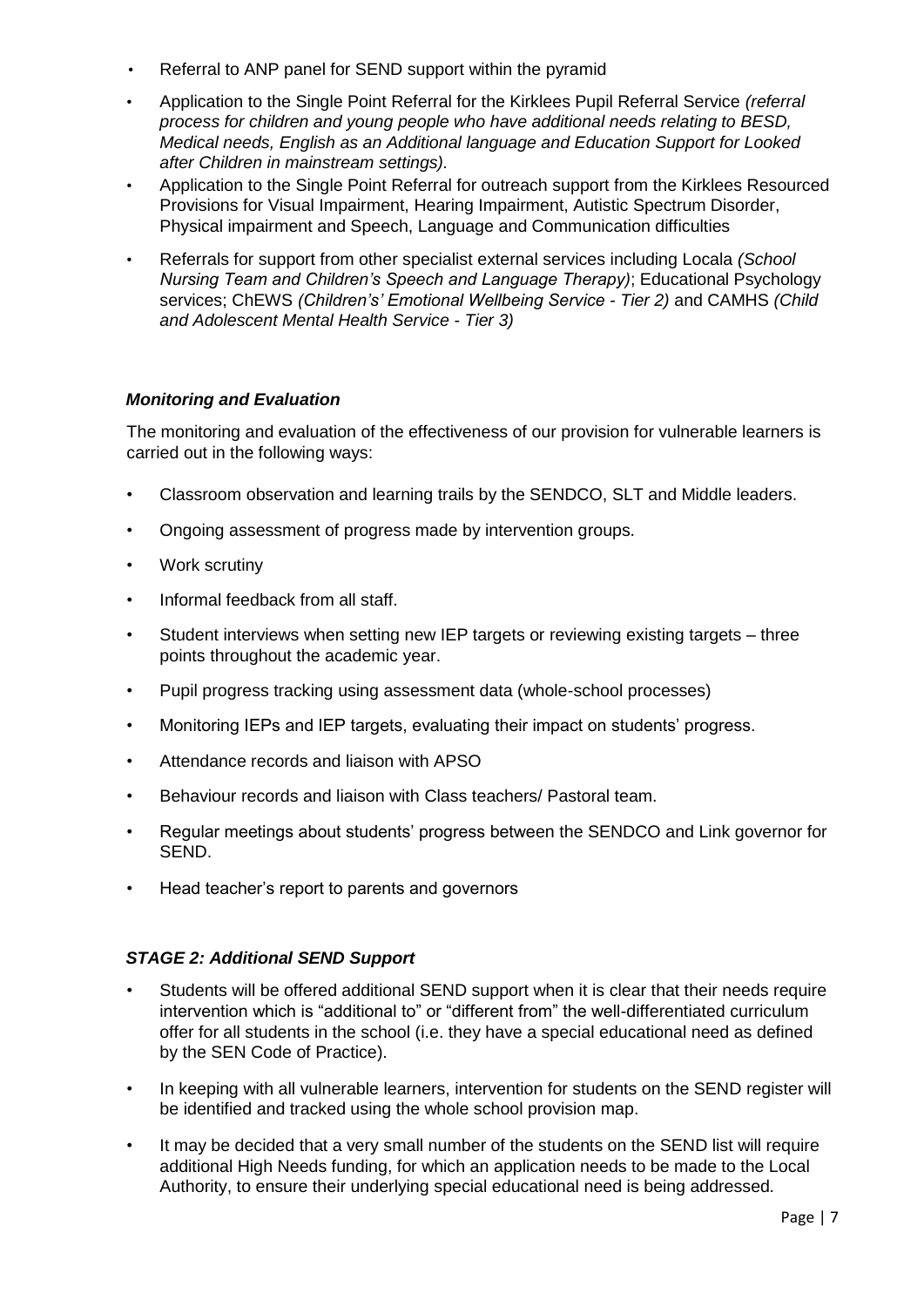- Referral to ANP panel for SEND support within the pyramid
- Application to the Single Point Referral for the Kirklees Pupil Referral Service *(referral process for children and young people who have additional needs relating to BESD, Medical needs, English as an Additional language and Education Support for Looked after Children in mainstream settings).*
- Application to the Single Point Referral for outreach support from the Kirklees Resourced Provisions for Visual Impairment, Hearing Impairment, Autistic Spectrum Disorder, Physical impairment and Speech, Language and Communication difficulties
- Referrals for support from other specialist external services including Locala *(School Nursing Team and Children's Speech and Language Therapy)*; Educational Psychology services; ChEWS *(Children's' Emotional Wellbeing Service - Tier 2)* and CAMHS *(Child and Adolescent Mental Health Service - Tier 3)*

# *Monitoring and Evaluation*

The monitoring and evaluation of the effectiveness of our provision for vulnerable learners is carried out in the following ways:

- Classroom observation and learning trails by the SENDCO, SLT and Middle leaders.
- Ongoing assessment of progress made by intervention groups.
- Work scrutiny
- Informal feedback from all staff.
- Student interviews when setting new IEP targets or reviewing existing targets three points throughout the academic year.
- Pupil progress tracking using assessment data (whole-school processes)
- Monitoring IEPs and IEP targets, evaluating their impact on students' progress.
- Attendance records and liaison with APSO
- Behaviour records and liaison with Class teachers/ Pastoral team.
- Regular meetings about students' progress between the SENDCO and Link governor for SEND.
- Head teacher's report to parents and governors

## *STAGE 2: Additional SEND Support*

- Students will be offered additional SEND support when it is clear that their needs require intervention which is "additional to" or "different from" the well-differentiated curriculum offer for all students in the school (i.e. they have a special educational need as defined by the SEN Code of Practice).
- In keeping with all vulnerable learners, intervention for students on the SEND register will be identified and tracked using the whole school provision map.
- It may be decided that a very small number of the students on the SEND list will require additional High Needs funding, for which an application needs to be made to the Local Authority, to ensure their underlying special educational need is being addressed*.*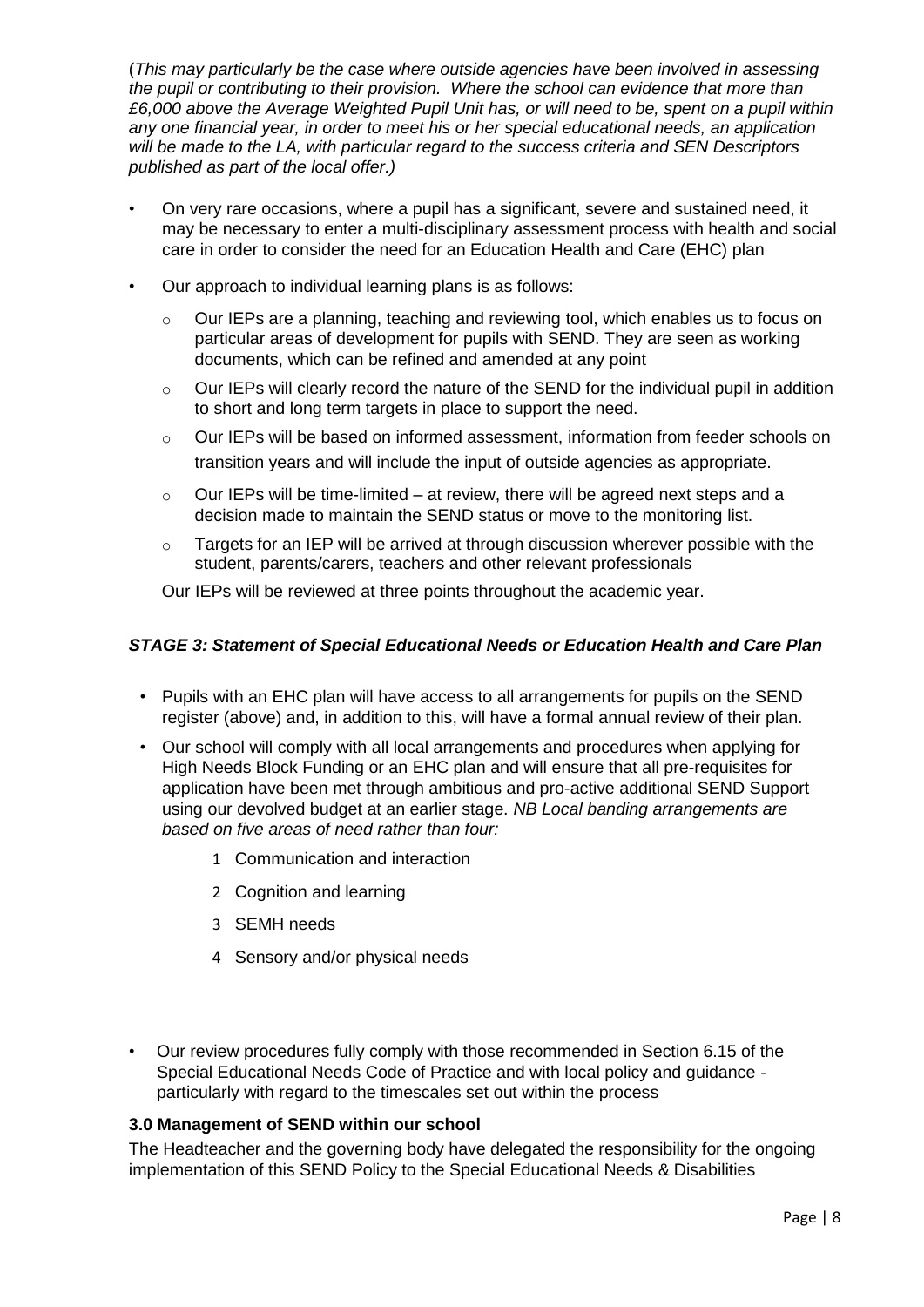(*This may particularly be the case where outside agencies have been involved in assessing the pupil or contributing to their provision. Where the school can evidence that more than £6,000 above the Average Weighted Pupil Unit has, or will need to be, spent on a pupil within any one financial year, in order to meet his or her special educational needs, an application will be made to the LA, with particular regard to the success criteria and SEN Descriptors published as part of the local offer.)* 

- On very rare occasions, where a pupil has a significant, severe and sustained need, it may be necessary to enter a multi-disciplinary assessment process with health and social care in order to consider the need for an Education Health and Care (EHC) plan
- Our approach to individual learning plans is as follows:
	- $\circ$  Our IEPs are a planning, teaching and reviewing tool, which enables us to focus on particular areas of development for pupils with SEND. They are seen as working documents, which can be refined and amended at any point
	- $\circ$  Our IEPs will clearly record the nature of the SEND for the individual pupil in addition to short and long term targets in place to support the need.
	- o Our IEPs will be based on informed assessment, information from feeder schools on transition years and will include the input of outside agencies as appropriate.
	- $\circ$  Our IEPs will be time-limited at review, there will be agreed next steps and a decision made to maintain the SEND status or move to the monitoring list.
	- $\circ$  Targets for an IEP will be arrived at through discussion wherever possible with the student, parents/carers, teachers and other relevant professionals

Our IEPs will be reviewed at three points throughout the academic year.

# *STAGE 3: Statement of Special Educational Needs or Education Health and Care Plan*

- Pupils with an EHC plan will have access to all arrangements for pupils on the SEND register (above) and, in addition to this, will have a formal annual review of their plan.
- Our school will comply with all local arrangements and procedures when applying for High Needs Block Funding or an EHC plan and will ensure that all pre-requisites for application have been met through ambitious and pro-active additional SEND Support using our devolved budget at an earlier stage. *NB Local banding arrangements are based on five areas of need rather than four:* 
	- 1 Communication and interaction
	- 2 Cognition and learning
	- 3 SEMH needs
	- 4 Sensory and/or physical needs
- Our review procedures fully comply with those recommended in Section 6.15 of the Special Educational Needs Code of Practice and with local policy and guidance particularly with regard to the timescales set out within the process

## **3.0 Management of SEND within our school**

The Headteacher and the governing body have delegated the responsibility for the ongoing implementation of this SEND Policy to the Special Educational Needs & Disabilities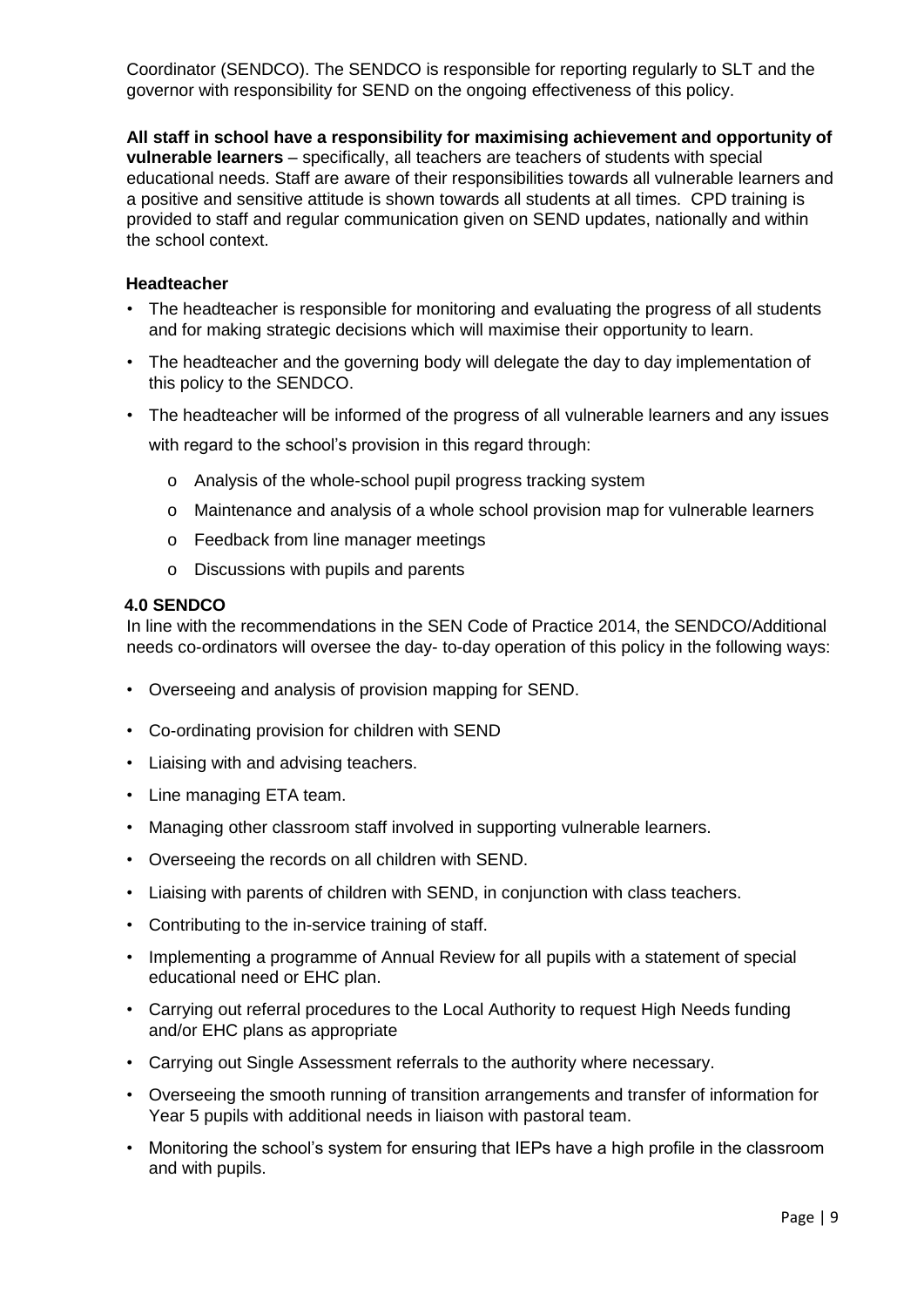Coordinator (SENDCO). The SENDCO is responsible for reporting regularly to SLT and the governor with responsibility for SEND on the ongoing effectiveness of this policy.

**All staff in school have a responsibility for maximising achievement and opportunity of vulnerable learners** – specifically, all teachers are teachers of students with special educational needs. Staff are aware of their responsibilities towards all vulnerable learners and a positive and sensitive attitude is shown towards all students at all times. CPD training is provided to staff and regular communication given on SEND updates, nationally and within the school context.

# **Headteacher**

- The headteacher is responsible for monitoring and evaluating the progress of all students and for making strategic decisions which will maximise their opportunity to learn.
- The headteacher and the governing body will delegate the day to day implementation of this policy to the SENDCO.
- The headteacher will be informed of the progress of all vulnerable learners and any issues with regard to the school's provision in this regard through:
	- o Analysis of the whole-school pupil progress tracking system
	- o Maintenance and analysis of a whole school provision map for vulnerable learners
	- o Feedback from line manager meetings
	- o Discussions with pupils and parents

## **4.0 SENDCO**

In line with the recommendations in the SEN Code of Practice 2014, the SENDCO/Additional needs co-ordinators will oversee the day- to-day operation of this policy in the following ways:

- Overseeing and analysis of provision mapping for SEND.
- Co-ordinating provision for children with SEND
- Liaising with and advising teachers.
- Line managing ETA team.
- Managing other classroom staff involved in supporting vulnerable learners.
- Overseeing the records on all children with SEND.
- Liaising with parents of children with SEND, in conjunction with class teachers.
- Contributing to the in-service training of staff.
- Implementing a programme of Annual Review for all pupils with a statement of special educational need or EHC plan.
- Carrying out referral procedures to the Local Authority to request High Needs funding and/or EHC plans as appropriate
- Carrying out Single Assessment referrals to the authority where necessary.
- Overseeing the smooth running of transition arrangements and transfer of information for Year 5 pupils with additional needs in liaison with pastoral team.
- Monitoring the school's system for ensuring that IEPs have a high profile in the classroom and with pupils.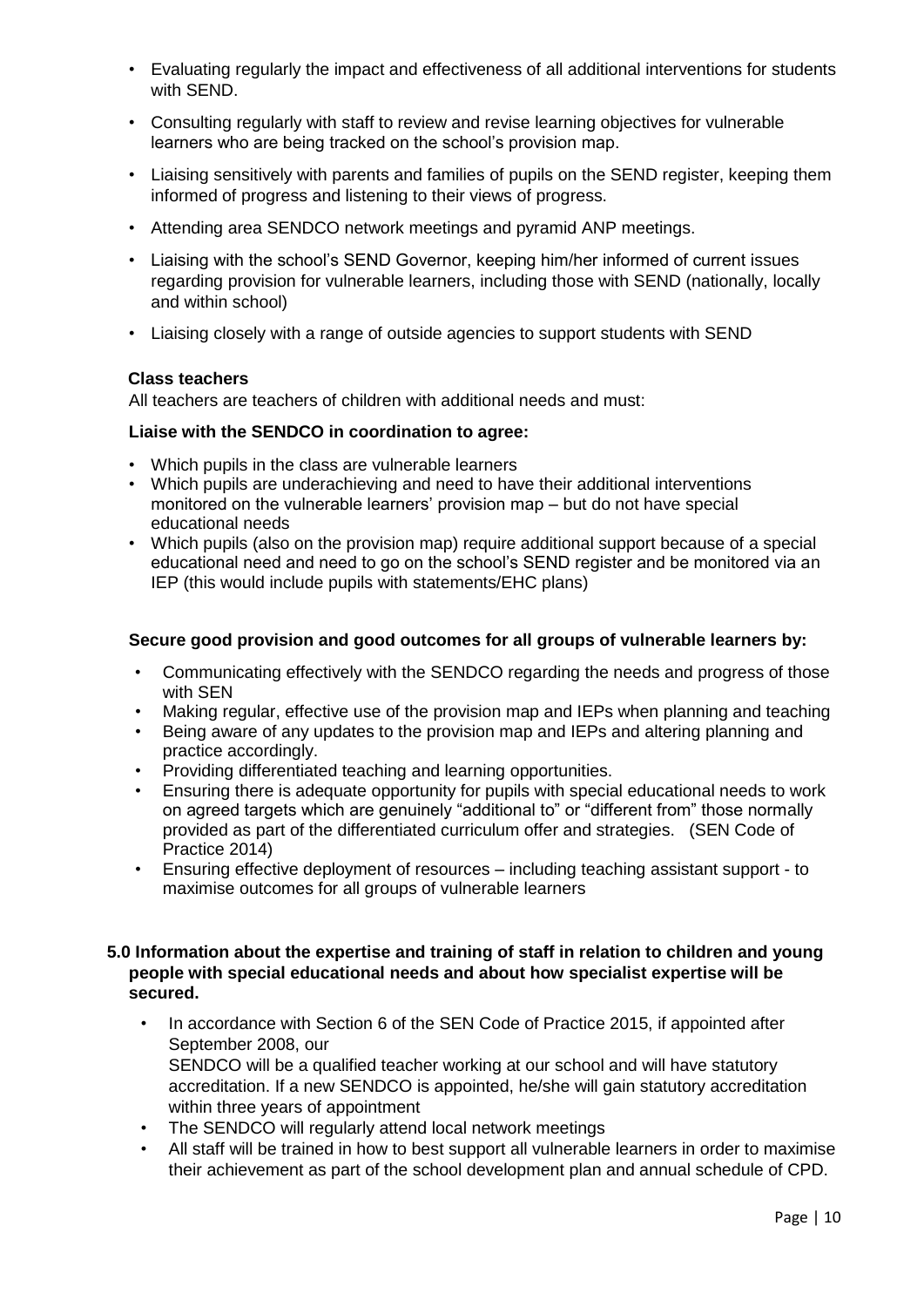- Evaluating regularly the impact and effectiveness of all additional interventions for students with SEND.
- Consulting regularly with staff to review and revise learning objectives for vulnerable learners who are being tracked on the school's provision map.
- Liaising sensitively with parents and families of pupils on the SEND register, keeping them informed of progress and listening to their views of progress.
- Attending area SENDCO network meetings and pyramid ANP meetings.
- Liaising with the school's SEND Governor, keeping him/her informed of current issues regarding provision for vulnerable learners, including those with SEND (nationally, locally and within school)
- Liaising closely with a range of outside agencies to support students with SEND

# **Class teachers**

All teachers are teachers of children with additional needs and must:

## **Liaise with the SENDCO in coordination to agree:**

- Which pupils in the class are vulnerable learners
- Which pupils are underachieving and need to have their additional interventions monitored on the vulnerable learners' provision map – but do not have special educational needs
- Which pupils (also on the provision map) require additional support because of a special educational need and need to go on the school's SEND register and be monitored via an IEP (this would include pupils with statements/EHC plans)

# **Secure good provision and good outcomes for all groups of vulnerable learners by:**

- Communicating effectively with the SENDCO regarding the needs and progress of those with SEN
- Making regular, effective use of the provision map and IEPs when planning and teaching
- Being aware of any updates to the provision map and IEPs and altering planning and practice accordingly.
- Providing differentiated teaching and learning opportunities.
- Ensuring there is adequate opportunity for pupils with special educational needs to work on agreed targets which are genuinely "additional to" or "different from" those normally provided as part of the differentiated curriculum offer and strategies. (SEN Code of Practice 2014)
- Ensuring effective deployment of resources including teaching assistant support to maximise outcomes for all groups of vulnerable learners

# **5.0 Information about the expertise and training of staff in relation to children and young people with special educational needs and about how specialist expertise will be secured.**

- In accordance with Section 6 of the SEN Code of Practice 2015, if appointed after September 2008, our SENDCO will be a qualified teacher working at our school and will have statutory accreditation. If a new SENDCO is appointed, he/she will gain statutory accreditation within three years of appointment
- The SENDCO will regularly attend local network meetings
- All staff will be trained in how to best support all vulnerable learners in order to maximise their achievement as part of the school development plan and annual schedule of CPD.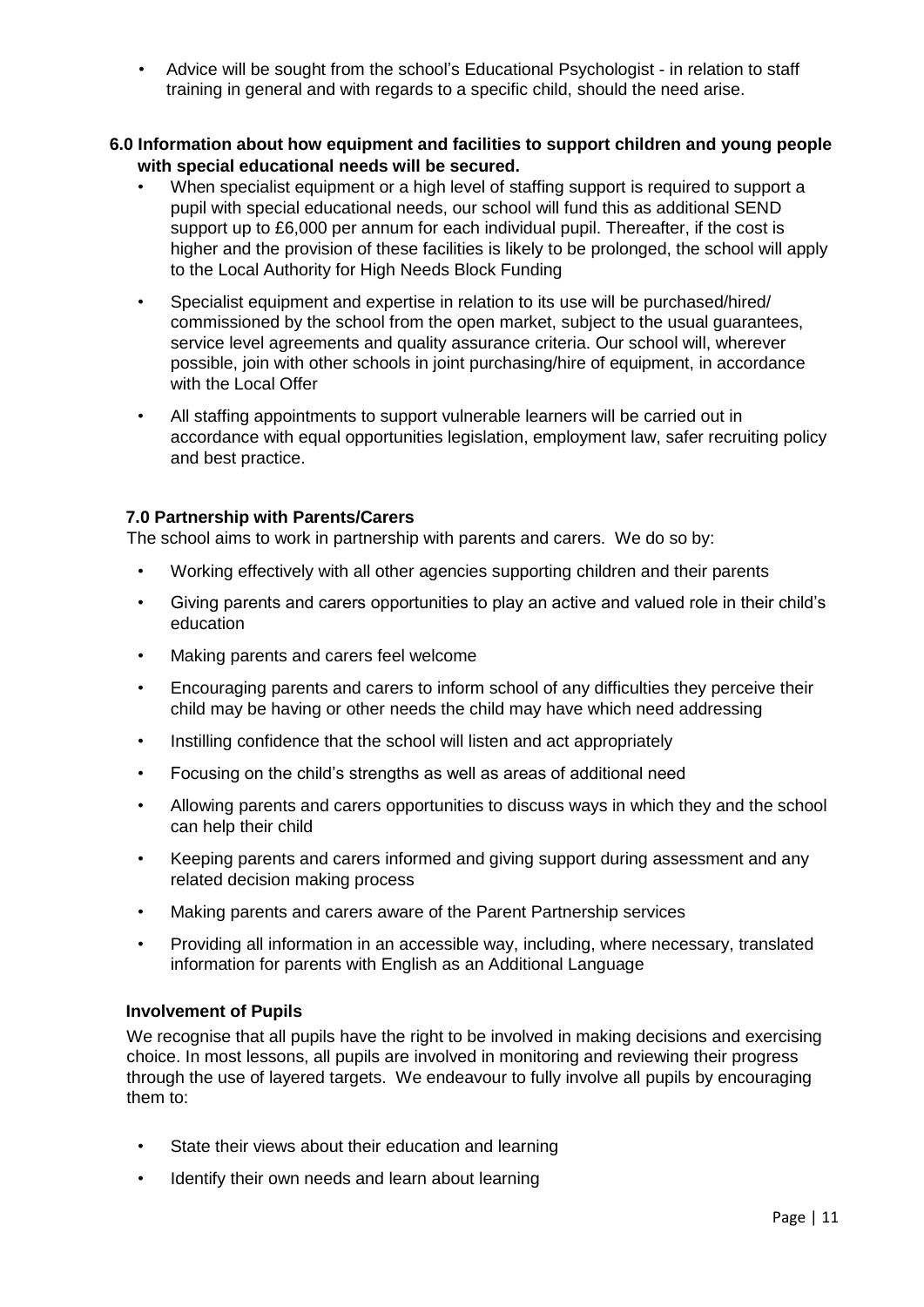• Advice will be sought from the school's Educational Psychologist - in relation to staff training in general and with regards to a specific child, should the need arise.

## **6.0 Information about how equipment and facilities to support children and young people with special educational needs will be secured.**

- When specialist equipment or a high level of staffing support is required to support a pupil with special educational needs, our school will fund this as additional SEND support up to £6,000 per annum for each individual pupil. Thereafter, if the cost is higher and the provision of these facilities is likely to be prolonged, the school will apply to the Local Authority for High Needs Block Funding
- Specialist equipment and expertise in relation to its use will be purchased/hired/ commissioned by the school from the open market, subject to the usual guarantees, service level agreements and quality assurance criteria. Our school will, wherever possible, join with other schools in joint purchasing/hire of equipment, in accordance with the Local Offer
- All staffing appointments to support vulnerable learners will be carried out in accordance with equal opportunities legislation, employment law, safer recruiting policy and best practice.

## **7.0 Partnership with Parents/Carers**

The school aims to work in partnership with parents and carers. We do so by:

- Working effectively with all other agencies supporting children and their parents
- Giving parents and carers opportunities to play an active and valued role in their child's education
- Making parents and carers feel welcome
- Encouraging parents and carers to inform school of any difficulties they perceive their child may be having or other needs the child may have which need addressing
- Instilling confidence that the school will listen and act appropriately
- Focusing on the child's strengths as well as areas of additional need
- Allowing parents and carers opportunities to discuss ways in which they and the school can help their child
- Keeping parents and carers informed and giving support during assessment and any related decision making process
- Making parents and carers aware of the Parent Partnership services
- Providing all information in an accessible way, including, where necessary, translated information for parents with English as an Additional Language

## **Involvement of Pupils**

We recognise that all pupils have the right to be involved in making decisions and exercising choice. In most lessons, all pupils are involved in monitoring and reviewing their progress through the use of layered targets. We endeavour to fully involve all pupils by encouraging them to:

- State their views about their education and learning
- Identify their own needs and learn about learning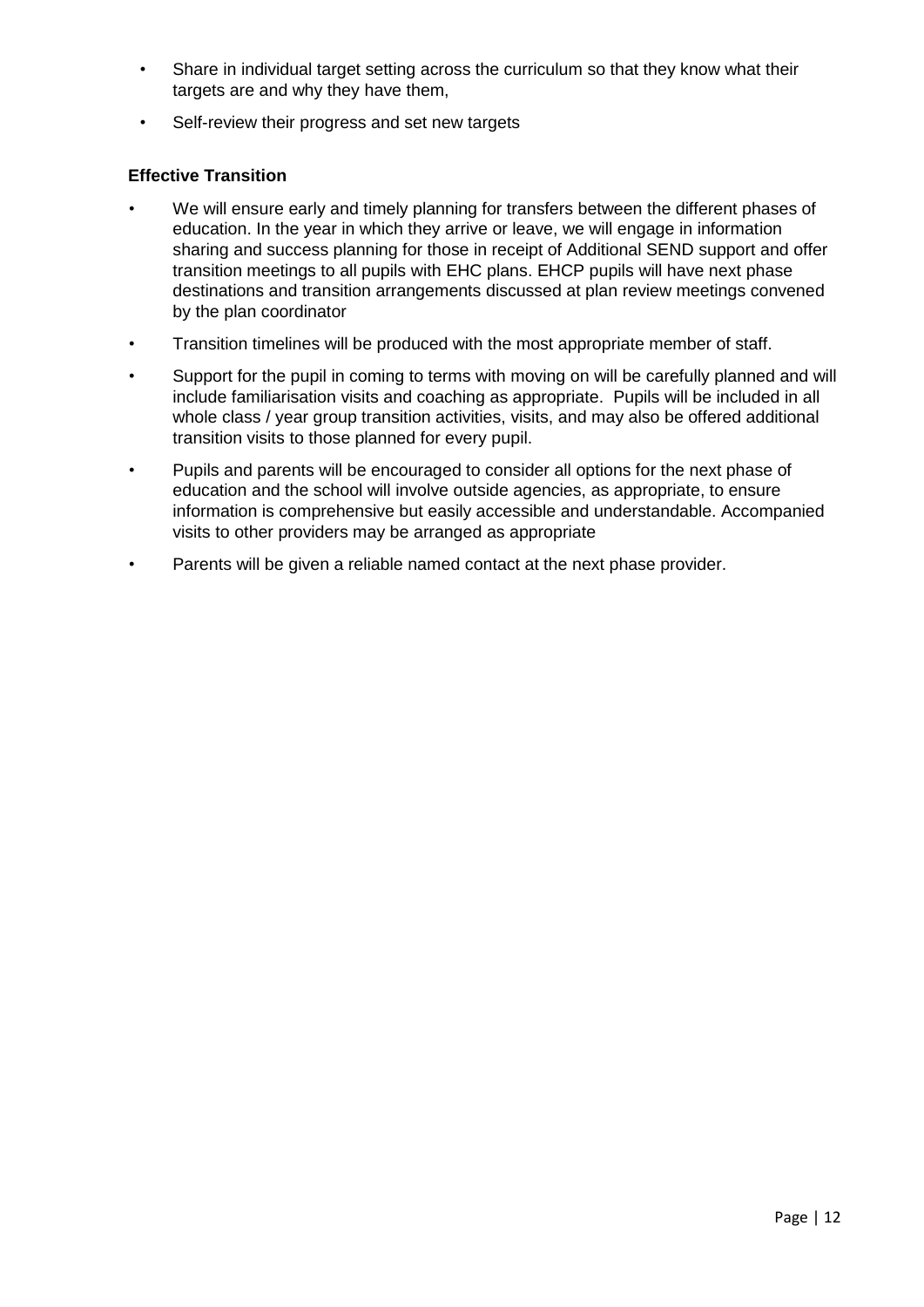- Share in individual target setting across the curriculum so that they know what their targets are and why they have them,
- Self-review their progress and set new targets

# **Effective Transition**

- We will ensure early and timely planning for transfers between the different phases of education. In the year in which they arrive or leave, we will engage in information sharing and success planning for those in receipt of Additional SEND support and offer transition meetings to all pupils with EHC plans. EHCP pupils will have next phase destinations and transition arrangements discussed at plan review meetings convened by the plan coordinator
- Transition timelines will be produced with the most appropriate member of staff.
- Support for the pupil in coming to terms with moving on will be carefully planned and will include familiarisation visits and coaching as appropriate. Pupils will be included in all whole class / year group transition activities, visits, and may also be offered additional transition visits to those planned for every pupil.
- Pupils and parents will be encouraged to consider all options for the next phase of education and the school will involve outside agencies, as appropriate, to ensure information is comprehensive but easily accessible and understandable. Accompanied visits to other providers may be arranged as appropriate
- Parents will be given a reliable named contact at the next phase provider.